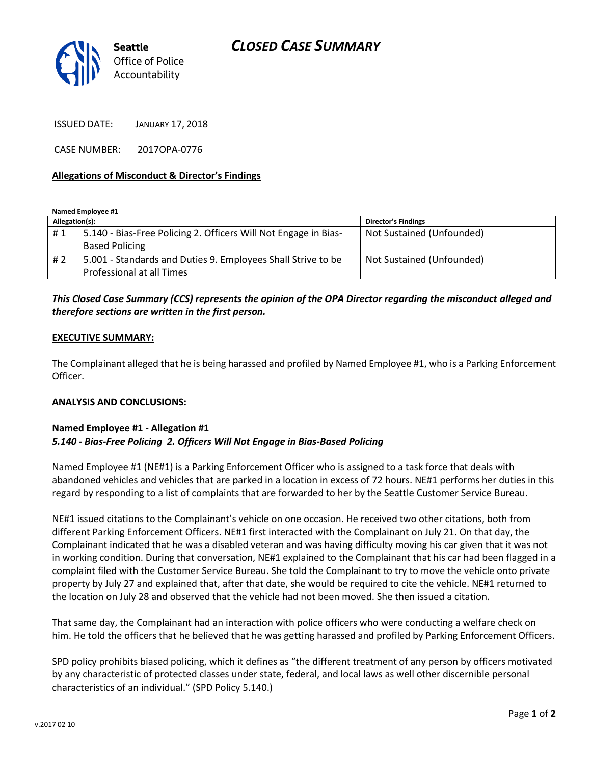# *CLOSED CASE SUMMARY*



ISSUED DATE: JANUARY 17, 2018

CASE NUMBER: 2017OPA-0776

### **Allegations of Misconduct & Director's Findings**

**Named Employee #1**

| Allegation(s): |                                                                 | Director's Findings       |
|----------------|-----------------------------------------------------------------|---------------------------|
| #1             | 5.140 - Bias-Free Policing 2. Officers Will Not Engage in Bias- | Not Sustained (Unfounded) |
|                | <b>Based Policing</b>                                           |                           |
| #2             | 5.001 - Standards and Duties 9. Employees Shall Strive to be    | Not Sustained (Unfounded) |
|                | Professional at all Times                                       |                           |

## *This Closed Case Summary (CCS) represents the opinion of the OPA Director regarding the misconduct alleged and therefore sections are written in the first person.*

#### **EXECUTIVE SUMMARY:**

The Complainant alleged that he is being harassed and profiled by Named Employee #1, who is a Parking Enforcement Officer.

### **ANALYSIS AND CONCLUSIONS:**

### **Named Employee #1 - Allegation #1** *5.140 - Bias-Free Policing 2. Officers Will Not Engage in Bias-Based Policing*

Named Employee #1 (NE#1) is a Parking Enforcement Officer who is assigned to a task force that deals with abandoned vehicles and vehicles that are parked in a location in excess of 72 hours. NE#1 performs her duties in this regard by responding to a list of complaints that are forwarded to her by the Seattle Customer Service Bureau.

NE#1 issued citations to the Complainant's vehicle on one occasion. He received two other citations, both from different Parking Enforcement Officers. NE#1 first interacted with the Complainant on July 21. On that day, the Complainant indicated that he was a disabled veteran and was having difficulty moving his car given that it was not in working condition. During that conversation, NE#1 explained to the Complainant that his car had been flagged in a complaint filed with the Customer Service Bureau. She told the Complainant to try to move the vehicle onto private property by July 27 and explained that, after that date, she would be required to cite the vehicle. NE#1 returned to the location on July 28 and observed that the vehicle had not been moved. She then issued a citation.

That same day, the Complainant had an interaction with police officers who were conducting a welfare check on him. He told the officers that he believed that he was getting harassed and profiled by Parking Enforcement Officers.

SPD policy prohibits biased policing, which it defines as "the different treatment of any person by officers motivated by any characteristic of protected classes under state, federal, and local laws as well other discernible personal characteristics of an individual." (SPD Policy 5.140.)